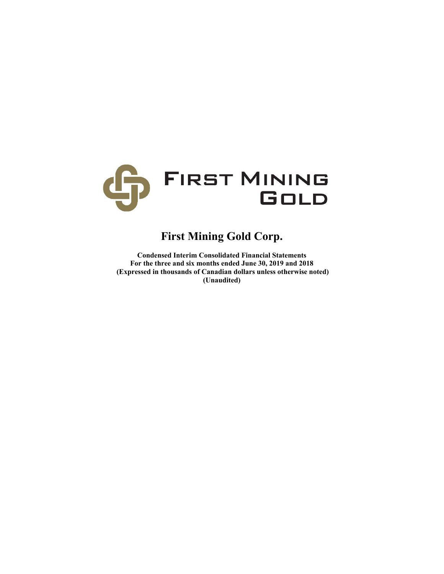

# **First Mining Gold Corp.**

**Condensed Interim Consolidated Financial Statements For the three and six months ended June 30, 2019 and 2018 (Expressed in thousands of Canadian dollars unless otherwise noted) (Unaudited)**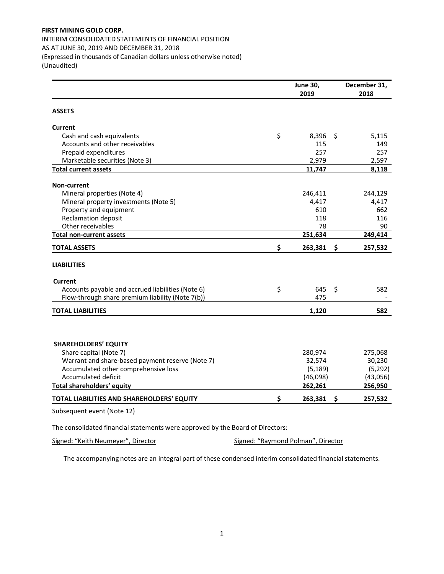## **FIRST MINING GOLD CORP.**  INTERIM CONSOLIDATED STATEMENTS OF FINANCIAL POSITION AS AT JUNE 30, 2019 AND DECEMBER 31, 2018 (Expressed in thousands of Canadian dollars unless otherwise noted) (Unaudited)

|                                                   | <b>June 30,</b> |     | December 31, |
|---------------------------------------------------|-----------------|-----|--------------|
|                                                   | 2019            |     | 2018         |
| <b>ASSETS</b>                                     |                 |     |              |
| <b>Current</b>                                    |                 |     |              |
| Cash and cash equivalents                         | \$<br>8,396     | \$  | 5,115        |
| Accounts and other receivables                    | 115             |     | 149          |
| Prepaid expenditures                              | 257             |     | 257          |
| Marketable securities (Note 3)                    | 2,979           |     | 2,597        |
| <b>Total current assets</b>                       | 11,747          |     | 8,118        |
| <b>Non-current</b>                                |                 |     |              |
| Mineral properties (Note 4)                       | 246,411         |     | 244,129      |
| Mineral property investments (Note 5)             | 4,417           |     | 4,417        |
| Property and equipment                            | 610             |     | 662          |
| <b>Reclamation deposit</b>                        | 118             |     | 116          |
| Other receivables                                 | 78              |     | 90           |
| <b>Total non-current assets</b>                   | 251,634         |     | 249,414      |
| <b>TOTAL ASSETS</b>                               | \$<br>263,381   | \$  | 257,532      |
| <b>LIABILITIES</b>                                |                 |     |              |
| <b>Current</b>                                    |                 |     |              |
| Accounts payable and accrued liabilities (Note 6) | \$<br>645       | \$  | 582          |
| Flow-through share premium liability (Note 7(b))  | 475             |     |              |
| <b>TOTAL LIABILITIES</b>                          | 1,120           |     | 582          |
|                                                   |                 |     |              |
| <b>SHAREHOLDERS' EQUITY</b>                       |                 |     |              |
| Share capital (Note 7)                            | 280,974         |     | 275,068      |
| Warrant and share-based payment reserve (Note 7)  | 32,574          |     | 30,230       |
| Accumulated other comprehensive loss              | (5, 189)        |     | (5, 292)     |
| Accumulated deficit                               | (46,098)        |     | (43,056)     |
| Total shareholders' equity                        | 262,261         |     | 256,950      |
| TOTAL LIABILITIES AND SHAREHOLDERS' EQUITY        | \$<br>263,381   | -\$ | 257,532      |
| Subsequent event (Note 12)                        |                 |     |              |

The consolidated financial statements were approved by the Board of Directors:

Signed: "Keith Neumeyer", Director **Signed: "Raymond Polman"**, Director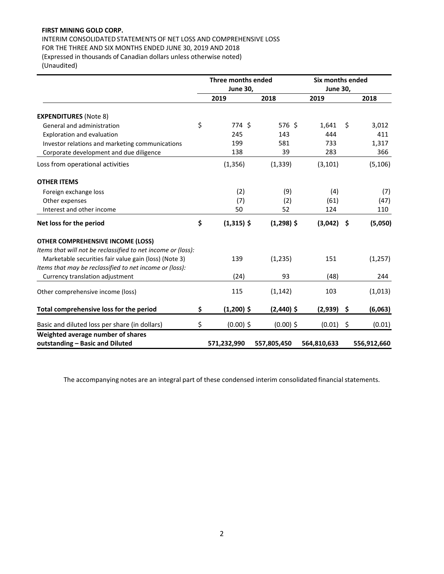# **FIRST MINING GOLD CORP.**

INTERIM CONSOLIDATED STATEMENTS OF NET LOSS AND COMPREHENSIVE LOSS FOR THE THREE AND SIX MONTHS ENDED JUNE 30, 2019 AND 2018 (Expressed in thousands of Canadian dollars unless otherwise noted)

(Unaudited)

|                                                              | <b>Three months ended</b> |              |                 | Six months ended |             |  |  |
|--------------------------------------------------------------|---------------------------|--------------|-----------------|------------------|-------------|--|--|
|                                                              | <b>June 30,</b>           |              | <b>June 30,</b> |                  |             |  |  |
|                                                              | 2019                      | 2018         | 2019            |                  | 2018        |  |  |
| <b>EXPENDITURES (Note 8)</b>                                 |                           |              |                 |                  |             |  |  |
| General and administration                                   | \$<br>774 \$              | 576 \$       | 1,641           | \$               | 3,012       |  |  |
| Exploration and evaluation                                   | 245                       | 143          | 444             |                  | 411         |  |  |
| Investor relations and marketing communications              | 199                       | 581          | 733             |                  | 1,317       |  |  |
| Corporate development and due diligence                      | 138                       | 39           | 283             |                  | 366         |  |  |
| Loss from operational activities                             | (1, 356)                  | (1, 339)     | (3, 101)        |                  | (5, 106)    |  |  |
| <b>OTHER ITEMS</b>                                           |                           |              |                 |                  |             |  |  |
| Foreign exchange loss                                        | (2)                       | (9)          | (4)             |                  | (7)         |  |  |
| Other expenses                                               | (7)                       | (2)          | (61)            |                  | (47)        |  |  |
| Interest and other income                                    | 50                        | 52           | 124             |                  | 110         |  |  |
| Net loss for the period                                      | \$<br>$(1,315)$ \$        | $(1,298)$ \$ | $(3,042)$ \$    |                  | (5,050)     |  |  |
| <b>OTHER COMPREHENSIVE INCOME (LOSS)</b>                     |                           |              |                 |                  |             |  |  |
| Items that will not be reclassified to net income or (loss): |                           |              |                 |                  |             |  |  |
| Marketable securities fair value gain (loss) (Note 3)        | 139                       | (1,235)      | 151             |                  | (1, 257)    |  |  |
| Items that may be reclassified to net income or (loss):      |                           |              |                 |                  |             |  |  |
| Currency translation adjustment                              | (24)                      | 93           | (48)            |                  | 244         |  |  |
| Other comprehensive income (loss)                            | 115                       | (1, 142)     | 103             |                  | (1,013)     |  |  |
| Total comprehensive loss for the period                      | \$<br>$(1,200)$ \$        | $(2,440)$ \$ | (2,939)         | -\$              | (6,063)     |  |  |
| Basic and diluted loss per share (in dollars)                | \$<br>$(0.00)$ \$         | $(0.00)$ \$  | (0.01)          | \$               | (0.01)      |  |  |
| Weighted average number of shares                            |                           |              |                 |                  |             |  |  |
| outstanding - Basic and Diluted                              | 571,232,990               | 557,805,450  | 564,810,633     |                  | 556,912,660 |  |  |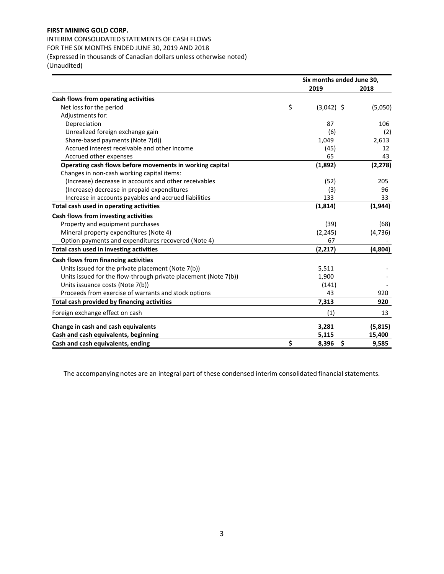# **FIRST MINING GOLD CORP.**

INTERIM CONSOLIDATED STATEMENTS OF CASH FLOWS FOR THE SIX MONTHS ENDED JUNE 30, 2019 AND 2018 (Expressed in thousands of Canadian dollars unless otherwise noted) (Unaudited)

|                                                                 | Six months ended June 30, |          |  |  |
|-----------------------------------------------------------------|---------------------------|----------|--|--|
|                                                                 | 2019                      | 2018     |  |  |
| Cash flows from operating activities                            |                           |          |  |  |
| Net loss for the period                                         | \$<br>$(3,042)$ \$        | (5,050)  |  |  |
| Adjustments for:                                                |                           |          |  |  |
| Depreciation                                                    | 87                        | 106      |  |  |
| Unrealized foreign exchange gain                                | (6)                       | (2)      |  |  |
| Share-based payments (Note 7(d))                                | 1,049                     | 2,613    |  |  |
| Accrued interest receivable and other income                    | (45)                      | 12       |  |  |
| Accrued other expenses                                          | 65                        | 43       |  |  |
| Operating cash flows before movements in working capital        | (1,892)                   | (2, 278) |  |  |
| Changes in non-cash working capital items:                      |                           |          |  |  |
| (Increase) decrease in accounts and other receivables           | (52)                      | 205      |  |  |
| (Increase) decrease in prepaid expenditures                     | (3)                       | 96       |  |  |
| Increase in accounts payables and accrued liabilities           | 133                       | 33       |  |  |
| Total cash used in operating activities                         | (1, 814)                  | (1, 944) |  |  |
| Cash flows from investing activities                            |                           |          |  |  |
| Property and equipment purchases                                | (39)                      | (68)     |  |  |
| Mineral property expenditures (Note 4)                          | (2, 245)                  | (4, 736) |  |  |
| Option payments and expenditures recovered (Note 4)             | 67                        |          |  |  |
| Total cash used in investing activities                         | (2, 217)                  | (4,804)  |  |  |
| Cash flows from financing activities                            |                           |          |  |  |
| Units issued for the private placement (Note 7(b))              | 5,511                     |          |  |  |
| Units issued for the flow-through private placement (Note 7(b)) | 1,900                     |          |  |  |
| Units issuance costs (Note 7(b))                                | (141)                     |          |  |  |
| Proceeds from exercise of warrants and stock options            | 43                        | 920      |  |  |
| Total cash provided by financing activities                     | 7,313                     | 920      |  |  |
| Foreign exchange effect on cash                                 | (1)                       | 13       |  |  |
| Change in cash and cash equivalents                             | 3,281                     | (5, 815) |  |  |
| Cash and cash equivalents, beginning                            | 5,115                     | 15,400   |  |  |
| Cash and cash equivalents, ending                               | \$<br>\$<br>8,396         | 9,585    |  |  |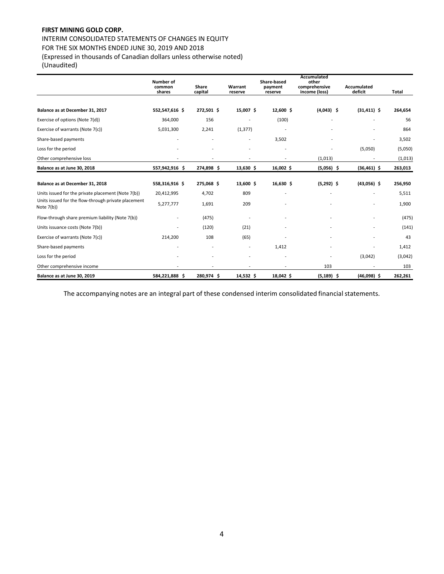# **FIRST MINING GOLD CORP.**

## INTERIM CONSOLIDATED STATEMENTS OF CHANGES IN EQUITY FOR THE SIX MONTHS ENDED JUNE 30, 2019 AND 2018

(Expressed in thousands of Canadian dollars unless otherwise noted) (Unaudited)

|                                                                   | Number of<br>common<br>shares | Share<br>capital | Warrant<br>reserve           | Share-based<br>payment<br>reserve | Accumulated<br>other<br>comprehensive<br>income (loss) | <b>Accumulated</b><br>deficit | Total   |
|-------------------------------------------------------------------|-------------------------------|------------------|------------------------------|-----------------------------------|--------------------------------------------------------|-------------------------------|---------|
| Balance as at December 31, 2017                                   | 552,547,616 \$                | 272,501 \$       | 15,007 \$                    | 12,600 \$                         | $(4,043)$ \$                                           | $(31, 411)$ \$                | 264,654 |
| Exercise of options (Note 7(d))                                   | 364,000                       | 156              | ۰                            | (100)                             |                                                        |                               | 56      |
| Exercise of warrants (Note 7(c))                                  | 5,031,300                     | 2,241            | (1, 377)                     |                                   |                                                        |                               | 864     |
| Share-based payments                                              |                               |                  | $\qquad \qquad \blacksquare$ | 3,502                             |                                                        |                               | 3,502   |
| Loss for the period                                               |                               |                  | ۰                            |                                   |                                                        | (5,050)                       | (5,050) |
| Other comprehensive loss                                          |                               |                  | ۰                            |                                   | (1,013)                                                |                               | (1,013) |
| Balance as at June 30, 2018                                       | 557,942,916 \$                | 274,898 \$       | 13,630 \$                    | 16,002 \$                         | $(5,056)$ \$                                           | $(36,461)$ \$                 | 263,013 |
| Balance as at December 31, 2018                                   | 558,316,916 \$                | 275,068 \$       | 13,600 \$                    | 16,630 \$                         | $(5,292)$ \$                                           | $(43,056)$ \$                 | 256,950 |
| Units issued for the private placement (Note 7(b))                | 20,412,995                    | 4,702            | 809                          |                                   |                                                        |                               | 5,511   |
| Units issued for the flow-through private placement<br>Note 7(b)) | 5,277,777                     | 1,691            | 209                          |                                   |                                                        |                               | 1,900   |
| Flow-through share premium liability (Note 7(b))                  |                               | (475)            |                              |                                   |                                                        |                               | (475)   |
| Units issuance costs (Note 7(b))                                  |                               | (120)            | (21)                         |                                   |                                                        |                               | (141)   |
| Exercise of warrants (Note 7(c))                                  | 214,200                       | 108              | (65)                         |                                   |                                                        |                               | 43      |
| Share-based payments                                              |                               |                  |                              | 1,412                             |                                                        |                               | 1,412   |
| Loss for the period                                               |                               |                  | ÷                            |                                   |                                                        | (3,042)                       | (3,042) |
| Other comprehensive income                                        |                               |                  |                              |                                   | 103                                                    |                               | 103     |
| Balance as at June 30, 2019                                       | 584,221,888 \$                | 280,974 \$       | 14,532 \$                    | 18,042 \$                         | $(5, 189)$ \$                                          | $(46,098)$ \$                 | 262,261 |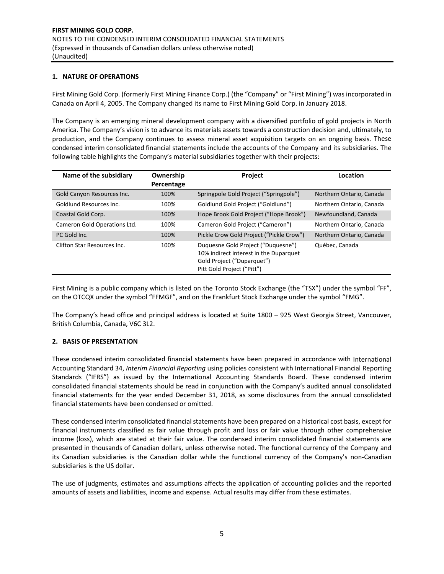### **1. NATURE OF OPERATIONS**

First Mining Gold Corp. (formerly First Mining Finance Corp.) (the "Company" or "First Mining") was incorporated in Canada on April 4, 2005. The Company changed its name to First Mining Gold Corp. in January 2018.

The Company is an emerging mineral development company with a diversified portfolio of gold projects in North America. The Company's vision is to advance its materials assets towards a construction decision and, ultimately, to production, and the Company continues to assess mineral asset acquisition targets on an ongoing basis. These condensed interim consolidated financial statements include the accounts of the Company and its subsidiaries. The following table highlights the Company's material subsidiaries together with their projects:

| Name of the subsidiary       | Ownership<br>Percentage | Project                                                                                                                                  | Location                 |
|------------------------------|-------------------------|------------------------------------------------------------------------------------------------------------------------------------------|--------------------------|
|                              |                         |                                                                                                                                          |                          |
| Gold Canyon Resources Inc.   | 100%                    | Springpole Gold Project ("Springpole")                                                                                                   | Northern Ontario, Canada |
| Goldlund Resources Inc.      | 100%                    | Goldlund Gold Project ("Goldlund")                                                                                                       | Northern Ontario, Canada |
| Coastal Gold Corp.           | 100%                    | Hope Brook Gold Project ("Hope Brook")                                                                                                   | Newfoundland, Canada     |
| Cameron Gold Operations Ltd. | 100%                    | Cameron Gold Project ("Cameron")                                                                                                         | Northern Ontario, Canada |
| PC Gold Inc.                 | 100%                    | Pickle Crow Gold Project ("Pickle Crow")                                                                                                 | Northern Ontario, Canada |
| Clifton Star Resources Inc.  | 100%                    | Duguesne Gold Project ("Duguesne")<br>10% indirect interest in the Duparquet<br>Gold Project ("Duparquet")<br>Pitt Gold Project ("Pitt") | Québec, Canada           |

First Mining is a public company which is listed on the Toronto Stock Exchange (the "TSX") under the symbol "FF", on the OTCQX under the symbol "FFMGF", and on the Frankfurt Stock Exchange under the symbol "FMG".

The Company's head office and principal address is located at Suite 1800 – 925 West Georgia Street, Vancouver, British Columbia, Canada, V6C 3L2.

#### **2. BASIS OF PRESENTATION**

These condensed interim consolidated financial statements have been prepared in accordance with International Accounting Standard 34, *Interim Financial Reporting* using policies consistent with International Financial Reporting Standards ("IFRS") as issued by the International Accounting Standards Board. These condensed interim consolidated financial statements should be read in conjunction with the Company's audited annual consolidated financial statements for the year ended December 31, 2018, as some disclosures from the annual consolidated financial statements have been condensed or omitted.

These condensed interim consolidated financial statements have been prepared on a historical cost basis, except for financial instruments classified as fair value through profit and loss or fair value through other comprehensive income (loss), which are stated at their fair value. The condensed interim consolidated financial statements are presented in thousands of Canadian dollars, unless otherwise noted. The functional currency of the Company and its Canadian subsidiaries is the Canadian dollar while the functional currency of the Company's non‐Canadian subsidiaries is the US dollar.

The use of judgments, estimates and assumptions affects the application of accounting policies and the reported amounts of assets and liabilities, income and expense. Actual results may differ from these estimates.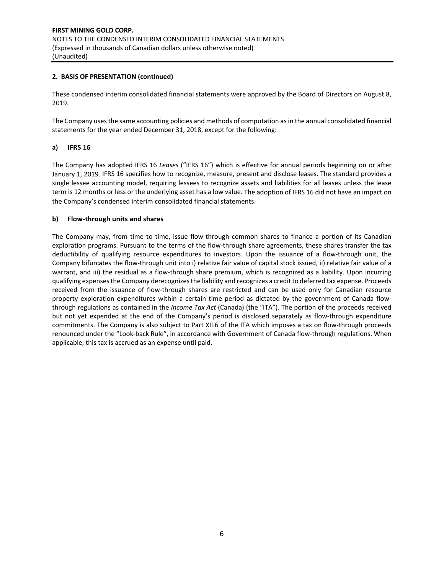### **2. BASIS OF PRESENTATION (continued)**

These condensed interim consolidated financial statements were approved by the Board of Directors on August 8, 2019.

The Company uses the same accounting policies and methods of computation as in the annual consolidated financial statements for the year ended December 31, 2018, except for the following:

### **a) IFRS 16**

The Company has adopted IFRS 16 *Leases* ("IFRS 16") which is effective for annual periods beginning on or after January 1, 2019. IFRS 16 specifies how to recognize, measure, present and disclose leases. The standard provides a single lessee accounting model, requiring lessees to recognize assets and liabilities for all leases unless the lease term is 12 months or less or the underlying asset has a low value. The adoption of IFRS 16 did not have an impact on the Company's condensed interim consolidated financial statements.

#### **b) Flow‐through units and shares**

The Company may, from time to time, issue flow-through common shares to finance a portion of its Canadian exploration programs. Pursuant to the terms of the flow-through share agreements, these shares transfer the tax deductibility of qualifying resource expenditures to investors. Upon the issuance of a flow-through unit, the Company bifurcates the flow‐through unit into i) relative fair value of capital stock issued, ii) relative fair value of a warrant, and iii) the residual as a flow-through share premium, which is recognized as a liability. Upon incurring qualifying expenses the Company derecognizes the liability and recognizes a credit to deferred tax expense. Proceeds received from the issuance of flow-through shares are restricted and can be used only for Canadian resource property exploration expenditures within a certain time period as dictated by the government of Canada flowthrough regulations as contained in the *Income Tax Act* (Canada) (the "ITA"). The portion of the proceeds received but not yet expended at the end of the Company's period is disclosed separately as flow-through expenditure commitments. The Company is also subject to Part XII.6 of the ITA which imposes a tax on flow‐through proceeds renounced under the "Look‐back Rule", in accordance with Government of Canada flow‐through regulations. When applicable, this tax is accrued as an expense until paid.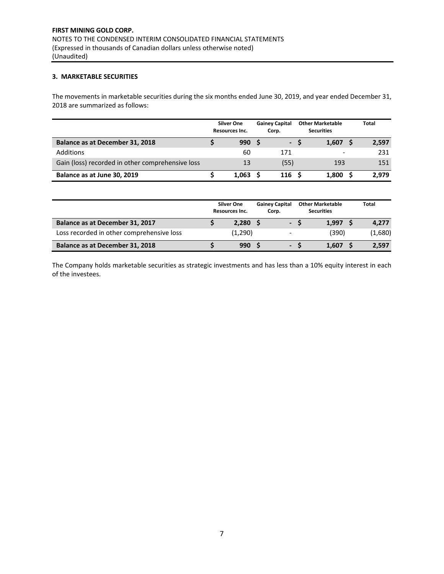## **3. MARKETABLE SECURITIES**

The movements in marketable securities during the six months ended June 30, 2019, and year ended December 31, 2018 are summarized as follows:

|                                                  | <b>Silver One</b><br>Resources Inc. | <b>Gainey Capital</b><br>Corp. | <b>Other Marketable</b><br><b>Securities</b> | <b>Total</b> |
|--------------------------------------------------|-------------------------------------|--------------------------------|----------------------------------------------|--------------|
| Balance as at December 31, 2018                  | 990                                 | ъ.                             | 1.607                                        | 2,597        |
| Additions                                        | 60                                  | 171                            |                                              | 231          |
| Gain (loss) recorded in other comprehensive loss | 13                                  | (55)                           | 193                                          | 151          |
| Balance as at June 30, 2019                      | 1.063                               | 116                            | 1.800                                        | 2.979        |

|                                           | <b>Silver One</b><br>Resources Inc. | <b>Gainey Capital</b><br>Corp. | <b>Other Marketable</b><br><b>Securities</b> | <b>Total</b> |
|-------------------------------------------|-------------------------------------|--------------------------------|----------------------------------------------|--------------|
| Balance as at December 31, 2017           | 2.280                               | $\sim$                         | 1.997                                        | 4,277        |
| Loss recorded in other comprehensive loss | (1,290)                             | $\overline{\phantom{a}}$       | (390)                                        | (1,680)      |
| Balance as at December 31, 2018           | 990                                 | $\blacksquare$                 | 1.607                                        | 2,597        |

The Company holds marketable securities as strategic investments and has less than a 10% equity interest in each of the investees.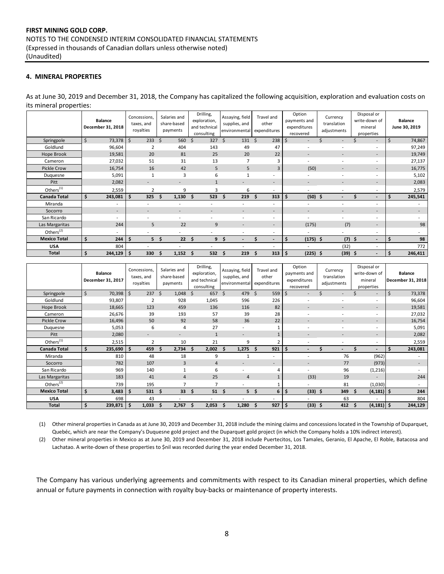### **4. MINERAL PROPERTIES**

As at June 30, 2019 and December 31, 2018, the Company has capitalized the following acquisition, exploration and evaluation costs on its mineral properties:

|                       | <b>Balance</b><br>December 31, 2018 | Concessions,<br>taxes, and<br>royalties | Salaries and<br>share-based<br>payments | Drilling,<br>exploration,<br>and technical<br>consulting | Assaying, field<br>supplies, and<br>environmental | Travel and<br>other<br>expenditures | Option<br>payments and<br>expenditures<br>recovered | Currency<br>translation<br>adjustments | Disposal or<br>write-down of<br>mineral<br>properties | <b>Balance</b><br>June 30, 2019 |
|-----------------------|-------------------------------------|-----------------------------------------|-----------------------------------------|----------------------------------------------------------|---------------------------------------------------|-------------------------------------|-----------------------------------------------------|----------------------------------------|-------------------------------------------------------|---------------------------------|
| Springpole            | \$<br>73,378                        | Ŝ.<br>233                               | <sup>5</sup><br>560                     | 327<br>\$                                                | $\mathsf{S}$<br>131                               | 238<br><sup>\$</sup>                | ÷                                                   |                                        | $\overline{\phantom{a}}$                              | \$<br>74,867                    |
| Goldlund              | 96,604                              | $\overline{2}$                          | 404                                     | 143                                                      | 49                                                | 47                                  | ۰                                                   |                                        | $\overline{\phantom{a}}$                              | 97,249                          |
| Hope Brook            | 19,581                              | 20                                      | 81                                      | 25                                                       | 20                                                | 22                                  | ÷                                                   | $\overline{\phantom{a}}$               | $\overline{\phantom{a}}$                              | 19,749                          |
| Cameron               | 27,032                              | 51                                      | 31                                      | 13                                                       |                                                   | 3                                   |                                                     |                                        | $\overline{\phantom{a}}$                              | 27,137                          |
| <b>Pickle Crow</b>    | 16,754                              | 16                                      | 42                                      | 5                                                        | 5                                                 | 3                                   | (50)                                                |                                        | $\overline{\phantom{a}}$                              | 16,775                          |
| Duquesne              | 5,091                               | 1                                       | 3                                       | 6                                                        | $\mathbf{1}$                                      | $\overline{\phantom{a}}$            |                                                     |                                        | $\overline{\phantom{a}}$                              | 5,102                           |
| Pitt                  | 2,082                               | $\blacksquare$                          | ۰                                       | $\mathbf{1}$                                             | $\overline{\phantom{0}}$                          | $\overline{\phantom{a}}$            | -                                                   | $\overline{\phantom{0}}$               | $\overline{\phantom{a}}$                              | 2,083                           |
| Others <sup>(1)</sup> | 2,559                               | $\overline{2}$                          | 9                                       | 3                                                        | 6                                                 | $\overline{\phantom{a}}$            | $\overline{\phantom{a}}$                            | $\overline{a}$                         | $\overline{\phantom{a}}$                              | 2,579                           |
| <b>Canada Total</b>   | \$<br>243,081                       | \$<br>325                               | 1,130<br>Ś.                             | 523<br>Ŝ.                                                | 219<br>Ś.                                         | 313<br>Ŝ                            | \$<br>$(50)$ \$                                     |                                        | $\overline{\phantom{0}}$                              | Ś.<br>245,541                   |
| Miranda               | $\overline{\phantom{a}}$            |                                         |                                         |                                                          | $\overline{a}$                                    | $\overline{\phantom{a}}$            |                                                     |                                        | $\overline{\phantom{a}}$                              |                                 |
| Socorro               | $\sim$                              | $\blacksquare$                          |                                         | $\overline{\phantom{0}}$                                 |                                                   | $\sim$                              | ۰                                                   |                                        | $\overline{\phantom{a}}$                              |                                 |
| San Ricardo           | ۰.                                  | ۰                                       |                                         | ٠                                                        | $\blacksquare$                                    | $\sim$                              | ٠                                                   | ۰                                      | $\overline{\phantom{a}}$                              |                                 |
| Las Margaritas        | 244                                 | 5                                       | 22                                      | 9                                                        | $\overline{\phantom{a}}$                          | $\sim$                              | (175)                                               | (7)                                    | $\overline{\phantom{a}}$                              | 98                              |
| Others <sup>(2)</sup> | $\sim$                              |                                         |                                         |                                                          | ٠                                                 | $\overline{\phantom{a}}$            | ٠                                                   | $\overline{\phantom{0}}$               | $\overline{\phantom{a}}$                              | $\overline{\phantom{a}}$        |
| <b>Mexico Total</b>   | \$<br>244                           | \$<br>5                                 | -\$<br>22                               | 9<br>Ŝ                                                   | - S<br>$\overline{\phantom{0}}$                   | $\blacksquare$                      | \$<br>$(175)$ \$                                    |                                        | $(7)$ \$<br>$\overline{\phantom{a}}$                  | 98<br>Ś                         |
| <b>USA</b>            | 804                                 |                                         |                                         |                                                          | ٠                                                 | $\overline{\phantom{a}}$            | ۰                                                   | (32)                                   | $\overline{\phantom{a}}$                              | 772                             |
| Total                 | 244,129                             | -\$<br>330                              | 1,152<br>S                              | 532                                                      | 219<br>S                                          | 313<br>s                            | $(225)$ \$<br>\$                                    | (39)                                   | -\$<br>$\overline{\phantom{a}}$                       | 246,411<br>Ś                    |

|                     | <b>Balance</b><br>December 31, 2017 | Concessions,<br>taxes, and<br>royalties | Salaries and<br>share-based<br>payments | Drilling,<br>exploration,<br>and technical<br>consulting | Assaying, field<br>supplies, and<br>environmental | Travel and<br>other<br>expenditures | Option<br>payments and<br>expenditures<br>recovered | Currency<br>translation<br>adjustments | Disposal or<br>write-down of<br>mineral<br>properties | <b>Balance</b><br>December 31, 2018 |
|---------------------|-------------------------------------|-----------------------------------------|-----------------------------------------|----------------------------------------------------------|---------------------------------------------------|-------------------------------------|-----------------------------------------------------|----------------------------------------|-------------------------------------------------------|-------------------------------------|
| Springpole          | Ś.<br>70,398                        | \$<br>237 <sup>5</sup>                  | 1,048                                   | 657 \$<br>Ŝ.                                             | 479                                               | 5<br>559                            | $\zeta$<br>$\overline{\phantom{a}}$                 |                                        | $\overline{\phantom{a}}$                              | \$<br>73,378                        |
| Goldlund            | 93,807                              | 2                                       | 928                                     | 1,045                                                    | 596                                               | 226                                 |                                                     |                                        | $\overline{\phantom{a}}$                              | 96,604                              |
| Hope Brook          | 18,665                              | 123                                     | 459                                     | 136                                                      | 116                                               | 82                                  | ۰                                                   |                                        | $\overline{\phantom{a}}$                              | 19,581                              |
| Cameron             | 26,676                              | 39                                      | 193                                     | 57                                                       | 39                                                | 28                                  | $\overline{\phantom{a}}$                            |                                        | $\overline{\phantom{a}}$                              | 27,032                              |
| <b>Pickle Crow</b>  | 16,496                              | 50                                      | 92                                      | 58                                                       | 36                                                | 22                                  | $\overline{\phantom{a}}$                            | $\blacksquare$                         | $\overline{\phantom{a}}$                              | 16,754                              |
| Duquesne            | 5,053                               | 6                                       | 4                                       | 27                                                       | ٠                                                 |                                     |                                                     |                                        | $\overline{\phantom{a}}$                              | 5,091                               |
| Pitt                | 2,080                               |                                         |                                         | $\mathbf{1}$                                             | $\overline{\phantom{a}}$                          |                                     |                                                     |                                        | $\overline{\phantom{a}}$                              | 2,082                               |
| Others $(1)$        | 2,515                               | $\overline{2}$                          | 10                                      | 21                                                       | 9                                                 |                                     | $\overline{\phantom{a}}$                            | ٠                                      | $\overline{\phantom{a}}$                              | 2,559                               |
| <b>Canada Total</b> | \$<br>235,690                       | \$<br>459                               | 2,734<br>S                              | 2,002<br>-S                                              | 1,275<br>Ŝ                                        | 921<br>-\$                          | \$<br>$\blacksquare$                                | $\overline{\phantom{0}}$               | Ŝ<br>$\overline{\phantom{a}}$                         | Ś.<br>243,081                       |
| Miranda             | 810                                 | 48                                      | 18                                      | 9                                                        |                                                   | ٠                                   | $\overline{a}$                                      | 76                                     | (962)                                                 | ٠                                   |
| Socorro             | 782                                 | 107                                     | 3                                       | $\overline{4}$                                           |                                                   |                                     | -                                                   | 77                                     | (973)                                                 |                                     |
| San Ricardo         | 969                                 | 140                                     |                                         | 6                                                        |                                                   |                                     |                                                     | 96                                     | (1, 216)                                              |                                     |
| Las Margaritas      | 183                                 | 41                                      | $\overline{4}$                          | 25                                                       | $\overline{4}$                                    |                                     | (33)                                                | 19                                     |                                                       | 244                                 |
| Others $(2)$        | 739                                 | 195                                     | $\overline{ }$                          | $\overline{7}$                                           | ۰                                                 |                                     | ۰                                                   | 81                                     | (1,030)                                               | ۰.                                  |
| <b>Mexico Total</b> | \$<br>3,483                         | Ś<br>531                                | 33<br>s                                 | 51<br>Ŝ                                                  | 5<br><b>S</b>                                     | \$<br>6                             | \$<br>(33)                                          | 349<br>- Ś                             | $(4, 181)$ \$<br>\$.                                  | 244                                 |
| <b>USA</b>          | 698                                 | 43                                      |                                         |                                                          |                                                   | ٠                                   |                                                     | 63                                     | $\overline{\phantom{a}}$                              | 804                                 |
| <b>Total</b>        | 239,871                             | \$<br>1,033                             | 2,767                                   | 2,053<br>Ŝ                                               | 1,280                                             | 927<br>\$                           | \$<br>(33)                                          | 412<br>-S                              | $(4, 181)$ \$<br>\$                                   | 244,129                             |

(1) Other mineral properties in Canada as at June 30, 2019 and December 31, 2018 include the mining claims and concessions located in the Township of Duparquet, Quebéc, which are near the Company's Duquesne gold project and the Duparquet gold project (in which the Company holds a 10% indirect interest).

(2) Other mineral properties in Mexico as at June 30, 2019 and December 31, 2018 include Puertecitos, Los Tamales, Geranio, El Apache, El Roble, Batacosa and Lachatao. A write-down of these properties to \$nil was recorded during the year ended December 31, 2018.

The Company has various underlying agreements and commitments with respect to its Canadian mineral properties, which define annual or future payments in connection with royalty buy‐backs or maintenance of property interests.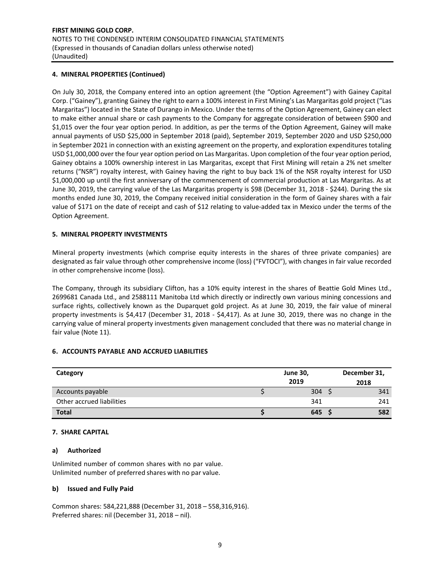### **4. MINERAL PROPERTIES (Continued)**

On July 30, 2018, the Company entered into an option agreement (the "Option Agreement") with Gainey Capital Corp. ("Gainey"), granting Gainey the right to earn a 100% interest in First Mining's Las Margaritas gold project ("Las Margaritas") located in the State of Durango in Mexico. Under the terms of the Option Agreement, Gainey can elect to make either annual share or cash payments to the Company for aggregate consideration of between \$900 and \$1,015 over the four year option period. In addition, as per the terms of the Option Agreement, Gainey will make annual payments of USD \$25,000 in September 2018 (paid), September 2019, September 2020 and USD \$250,000 in September 2021 in connection with an existing agreement on the property, and exploration expenditures totaling USD \$1,000,000 over the four year option period on Las Margaritas. Upon completion of the four year option period, Gainey obtains a 100% ownership interest in Las Margaritas, except that First Mining will retain a 2% net smelter returns ("NSR") royalty interest, with Gainey having the right to buy back 1% of the NSR royalty interest for USD \$1,000,000 up until the first anniversary of the commencement of commercial production at Las Margaritas. As at June 30, 2019, the carrying value of the Las Margaritas property is \$98 (December 31, 2018 ‐ \$244). During the six months ended June 30, 2019, the Company received initial consideration in the form of Gainey shares with a fair value of \$171 on the date of receipt and cash of \$12 relating to value-added tax in Mexico under the terms of the Option Agreement.

### **5. MINERAL PROPERTY INVESTMENTS**

Mineral property investments (which comprise equity interests in the shares of three private companies) are designated as fair value through other comprehensive income (loss) ("FVTOCI"), with changes in fair value recorded in other comprehensive income (loss).

The Company, through its subsidiary Clifton, has a 10% equity interest in the shares of Beattie Gold Mines Ltd., 2699681 Canada Ltd., and 2588111 Manitoba Ltd which directly or indirectly own various mining concessions and surface rights, collectively known as the Duparquet gold project. As at June 30, 2019, the fair value of mineral property investments is \$4,417 (December 31, 2018 - \$4,417). As at June 30, 2019, there was no change in the carrying value of mineral property investments given management concluded that there was no material change in fair value (Note 11).

#### **6. ACCOUNTS PAYABLE AND ACCRUED LIABILITIES**

| Category                  | <b>June 30,</b> | December 31, |
|---------------------------|-----------------|--------------|
|                           | 2019            | 2018         |
| Accounts payable          | 304             | 341          |
| Other accrued liabilities | 341             | 241          |
| <b>Total</b>              | 645             | 582          |

#### **7. SHARE CAPITAL**

#### **a) Authorized**

Unlimited number of common shares with no par value. Unlimited number of preferred shares with no par value.

## **b) Issued and Fully Paid**

Common shares: 584,221,888 (December 31, 2018 – 558,316,916). Preferred shares: nil (December 31, 2018 – nil).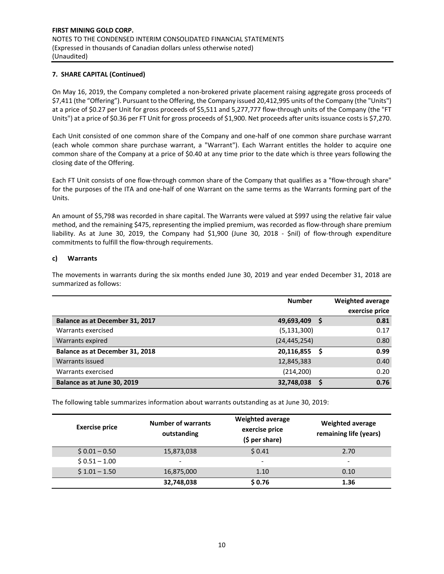On May 16, 2019, the Company completed a non‐brokered private placement raising aggregate gross proceeds of \$7,411 (the "Offering"). Pursuant to the Offering, the Company issued 20,412,995 units of the Company (the "Units") at a price of \$0.27 per Unit for gross proceeds of \$5,511 and 5,277,777 flow-through units of the Company (the "FT Units") at a price of \$0.36 per FT Unit for gross proceeds of \$1,900. Net proceeds after units issuance costs is \$7,270.

Each Unit consisted of one common share of the Company and one‐half of one common share purchase warrant (each whole common share purchase warrant, a "Warrant"). Each Warrant entitles the holder to acquire one common share of the Company at a price of \$0.40 at any time prior to the date which is three years following the closing date of the Offering.

Each FT Unit consists of one flow‐through common share of the Company that qualifies as a "flow‐through share" for the purposes of the ITA and one‐half of one Warrant on the same terms as the Warrants forming part of the Units.

An amount of \$5,798 was recorded in share capital. The Warrants were valued at \$997 using the relative fair value method, and the remaining \$475, representing the implied premium, was recorded as flow-through share premium liability. As at June 30, 2019, the Company had \$1,900 (June 30, 2018 - \$nil) of flow-through expenditure commitments to fulfill the flow‐through requirements.

### **c) Warrants**

The movements in warrants during the six months ended June 30, 2019 and year ended December 31, 2018 are summarized as follows:

|                                 | <b>Number</b>  |   | <b>Weighted average</b> |
|---------------------------------|----------------|---|-------------------------|
|                                 |                |   | exercise price          |
| Balance as at December 31, 2017 | 49,693,409     |   | 0.81                    |
| Warrants exercised              | (5, 131, 300)  |   | 0.17                    |
| Warrants expired                | (24, 445, 254) |   | 0.80                    |
| Balance as at December 31, 2018 | 20,116,855     | S | 0.99                    |
| Warrants issued                 | 12,845,383     |   | 0.40                    |
| Warrants exercised              | (214, 200)     |   | 0.20                    |
| Balance as at June 30, 2019     | 32,748,038     |   | 0.76                    |

The following table summarizes information about warrants outstanding as at June 30, 2019:

| <b>Exercise price</b> | <b>Number of warrants</b><br>outstanding | <b>Weighted average</b><br>exercise price<br>$(5 per share)$ | <b>Weighted average</b><br>remaining life (years) |
|-----------------------|------------------------------------------|--------------------------------------------------------------|---------------------------------------------------|
| $$0.01 - 0.50$        | 15,873,038                               | \$0.41                                                       | 2.70                                              |
| $$0.51 - 1.00$        | -                                        | -                                                            | $\overline{\phantom{0}}$                          |
| $$1.01 - 1.50$        | 16,875,000                               | 1.10                                                         | 0.10                                              |
|                       | 32,748,038                               | \$0.76                                                       | 1.36                                              |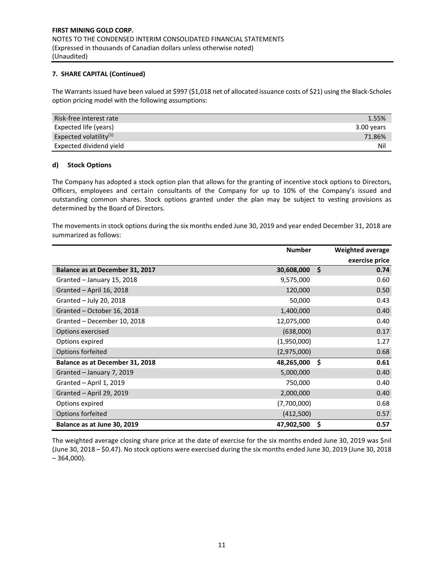The Warrants issued have been valued at \$997 (\$1,018 net of allocated issuance costs of \$21) using the Black-Scholes option pricing model with the following assumptions:

| Risk-free interest rate   | 1.55%      |
|---------------------------|------------|
| Expected life (years)     | 3.00 years |
| Expected volatility $(1)$ | 71.86%     |
| Expected dividend yield   | Ni         |

### **d) Stock Options**

The Company has adopted a stock option plan that allows for the granting of incentive stock options to Directors, Officers, employees and certain consultants of the Company for up to 10% of the Company's issued and outstanding common shares. Stock options granted under the plan may be subject to vesting provisions as determined by the Board of Directors.

The movements in stock options during the six months ended June 30, 2019 and year ended December 31, 2018 are summarized as follows:

|                                        | <b>Number</b> |     | <b>Weighted average</b> |
|----------------------------------------|---------------|-----|-------------------------|
|                                        |               |     | exercise price          |
| <b>Balance as at December 31, 2017</b> | 30,608,000    | \$  | 0.74                    |
| Granted - January 15, 2018             | 9,575,000     |     | 0.60                    |
| Granted - April 16, 2018               | 120,000       |     | 0.50                    |
| Granted - July 20, 2018                | 50,000        |     | 0.43                    |
| Granted - October 16, 2018             | 1,400,000     |     | 0.40                    |
| Granted - December 10, 2018            | 12,075,000    |     | 0.40                    |
| Options exercised                      | (638,000)     |     | 0.17                    |
| Options expired                        | (1,950,000)   |     | 1.27                    |
| Options forfeited                      | (2,975,000)   |     | 0.68                    |
| Balance as at December 31, 2018        | 48,265,000    | -\$ | 0.61                    |
| Granted - January 7, 2019              | 5,000,000     |     | 0.40                    |
| Granted - April 1, 2019                | 750,000       |     | 0.40                    |
| Granted - April 29, 2019               | 2,000,000     |     | 0.40                    |
| Options expired                        | (7,700,000)   |     | 0.68                    |
| Options forfeited                      | (412,500)     |     | 0.57                    |
| Balance as at June 30, 2019            | 47,902,500    | \$  | 0.57                    |

The weighted average closing share price at the date of exercise for the six months ended June 30, 2019 was \$nil (June 30, 2018 – \$0.47). No stock options were exercised during the six months ended June 30, 2019 (June 30, 2018  $-364,000$ ).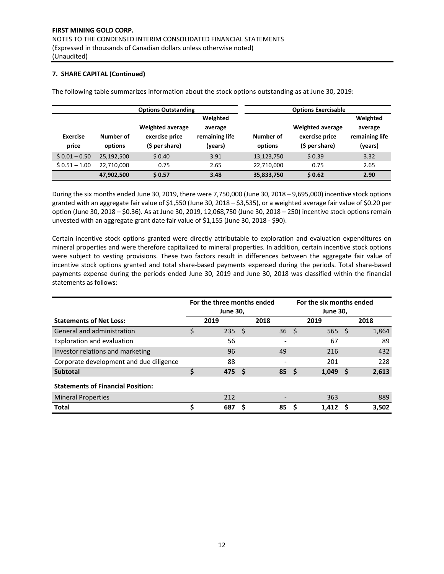The following table summarizes information about the stock options outstanding as at June 30, 2019:

|                          |                      | <b>Options Outstanding</b>                                  | <b>Options Exercisable</b>                       |                      |                                                             |                                                  |
|--------------------------|----------------------|-------------------------------------------------------------|--------------------------------------------------|----------------------|-------------------------------------------------------------|--------------------------------------------------|
| <b>Exercise</b><br>price | Number of<br>options | <b>Weighted average</b><br>exercise price<br>(\$ per share) | Weighted<br>average<br>remaining life<br>(years) | Number of<br>options | <b>Weighted average</b><br>exercise price<br>(\$ per share) | Weighted<br>average<br>remaining life<br>(years) |
| $$0.01 - 0.50$           | 25,192,500           | \$0.40                                                      | 3.91                                             | 13,123,750           | \$0.39                                                      | 3.32                                             |
| $$0.51 - 1.00$           | 22.710.000           | 0.75                                                        | 2.65                                             | 22,710,000           | 0.75                                                        | 2.65                                             |
|                          | 47,902,500           | \$0.57                                                      | 3.48                                             | 35,833,750           | \$0.62                                                      | 2.90                                             |

During the six months ended June 30, 2019, there were 7,750,000 (June 30, 2018 – 9,695,000) incentive stock options granted with an aggregate fair value of \$1,550 (June 30, 2018 – \$3,535), or a weighted average fair value of \$0.20 per option (June 30, 2018 – \$0.36). As at June 30, 2019, 12,068,750 (June 30, 2018 – 250) incentive stock options remain unvested with an aggregate grant date fair value of \$1,155 (June 30, 2018 ‐ \$90).

Certain incentive stock options granted were directly attributable to exploration and evaluation expenditures on mineral properties and were therefore capitalized to mineral properties. In addition, certain incentive stock options were subject to vesting provisions. These two factors result in differences between the aggregate fair value of incentive stock options granted and total share‐based payments expensed during the periods. Total share‐based payments expense during the periods ended June 30, 2019 and June 30, 2018 was classified within the financial statements as follows:

|                                          | For the three months ended<br><b>June 30,</b> |                |   |      |    | For the six months ended<br><b>June 30,</b> |    |       |
|------------------------------------------|-----------------------------------------------|----------------|---|------|----|---------------------------------------------|----|-------|
| <b>Statements of Net Loss:</b>           |                                               | 2019           |   | 2018 |    | 2019                                        |    | 2018  |
| General and administration               |                                               | $235 \quad$ \$ |   | 36   | Ŝ. | 565                                         | S  | 1,864 |
| Exploration and evaluation               |                                               | 56             |   |      |    | 67                                          |    | 89    |
| Investor relations and marketing         |                                               | 96             |   | 49   |    | 216                                         |    | 432   |
| Corporate development and due diligence  |                                               | 88             |   |      |    | 201                                         |    | 228   |
| <b>Subtotal</b>                          | Ś                                             | 475S           |   | 85   |    | 1,049                                       | -S | 2,613 |
| <b>Statements of Financial Position:</b> |                                               |                |   |      |    |                                             |    |       |
| <b>Mineral Properties</b>                |                                               | 212            |   |      |    | 363                                         |    | 889   |
| <b>Total</b>                             |                                               | 687            | S | 85   |    | 1.412                                       |    | 3,502 |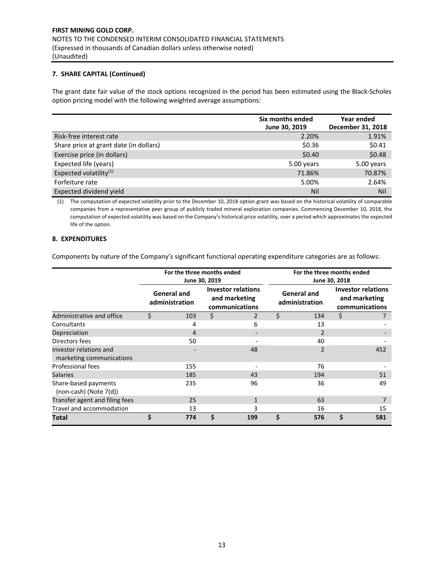The grant date fair value of the stock options recognized in the period has been estimated using the Black‐Scholes option pricing model with the following weighted average assumptions:

|                                        | Six months ended | Year ended        |
|----------------------------------------|------------------|-------------------|
|                                        | June 30, 2019    | December 31, 2018 |
| Risk-free interest rate                | 2.20%            | 1.91%             |
| Share price at grant date (in dollars) | \$0.36           | \$0.41            |
| Exercise price (in dollars)            | \$0.40           | \$0.48            |
| Expected life (years)                  | 5.00 years       | 5.00 years        |
| Expected volatility <sup>(1)</sup>     | 71.86%           | 70.87%            |
| Forfeiture rate                        | 5.00%            | 2.64%             |
| Expected dividend yield                | Nil              | Nil               |

(1) The computation of expected volatility prior to the December 10, 2018 option grant was based on the historical volatility of comparable companies from a representative peer group of publicly traded mineral exploration companies. Commencing December 10, 2018, the computation of expected volatility was based on the Company's historical price volatility, over a period which approximates the expected life of the option.

## **8. EXPENDITURES**

Components by nature of the Company's significant functional operating expenditure categories are as follows:

|                                                     |                                      | For the three months ended | June 30, 2019                                                |     | For the three months ended<br>June 30, 2018 |                                      |                                                              |     |  |
|-----------------------------------------------------|--------------------------------------|----------------------------|--------------------------------------------------------------|-----|---------------------------------------------|--------------------------------------|--------------------------------------------------------------|-----|--|
|                                                     | <b>General and</b><br>administration |                            | <b>Investor relations</b><br>and marketing<br>communications |     |                                             | <b>General and</b><br>administration | <b>Investor relations</b><br>and marketing<br>communications |     |  |
| Administrative and office                           | \$                                   | 103                        | \$                                                           | 2   | \$                                          | 134                                  | \$                                                           |     |  |
| Consultants                                         |                                      | 4                          |                                                              | 6   |                                             | 13                                   |                                                              |     |  |
| Depreciation                                        |                                      | 4                          |                                                              |     |                                             | $\overline{2}$                       |                                                              |     |  |
| Directors fees                                      |                                      | 50                         |                                                              |     |                                             | 40                                   |                                                              |     |  |
| Investor relations and<br>marketing communications  |                                      |                            |                                                              | 48  |                                             | 2                                    |                                                              | 452 |  |
| <b>Professional fees</b>                            |                                      | 155                        |                                                              |     |                                             | 76                                   |                                                              |     |  |
| <b>Salaries</b>                                     |                                      | 185                        |                                                              | 43  |                                             | 194                                  |                                                              | 51  |  |
| Share-based payments<br>$(non-cash)$ (Note $7(d)$ ) |                                      | 235                        |                                                              | 96  |                                             | 36                                   |                                                              | 49  |  |
| Transfer agent and filing fees                      |                                      | 25                         |                                                              | 1   |                                             | 63                                   |                                                              |     |  |
| Travel and accommodation                            |                                      | 13                         |                                                              | 3   |                                             | 16                                   |                                                              | 15  |  |
| Total                                               | \$                                   | 774                        | Ś                                                            | 199 | Ś.                                          | 576                                  | \$                                                           | 581 |  |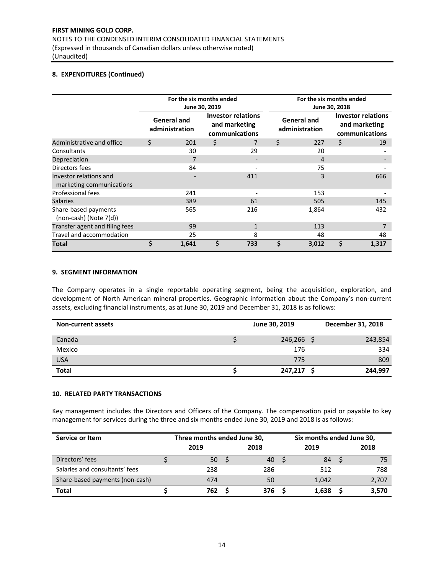## **8. EXPENDITURES (Continued)**

|                                                    |                                      | For the six months ended | June 30, 2019                                                |              | For the six months ended<br>June 30, 2018 |       |                                                              |       |  |
|----------------------------------------------------|--------------------------------------|--------------------------|--------------------------------------------------------------|--------------|-------------------------------------------|-------|--------------------------------------------------------------|-------|--|
|                                                    | <b>General and</b><br>administration |                          | <b>Investor relations</b><br>and marketing<br>communications |              | <b>General and</b><br>administration      |       | <b>Investor relations</b><br>and marketing<br>communications |       |  |
| Administrative and office                          | \$                                   | 201                      | \$                                                           |              | \$                                        | 227   | \$                                                           | 19    |  |
| Consultants                                        |                                      | 30                       |                                                              | 29           |                                           | 20    |                                                              |       |  |
| Depreciation                                       |                                      |                          |                                                              |              |                                           | 4     |                                                              |       |  |
| Directors fees                                     |                                      | 84                       |                                                              |              |                                           | 75    |                                                              |       |  |
| Investor relations and<br>marketing communications |                                      |                          |                                                              | 411          |                                           | 3     |                                                              | 666   |  |
| Professional fees                                  |                                      | 241                      |                                                              |              |                                           | 153   |                                                              |       |  |
| <b>Salaries</b>                                    |                                      | 389                      |                                                              | 61           |                                           | 505   |                                                              | 145   |  |
| Share-based payments<br>(non-cash) (Note 7(d))     |                                      | 565                      |                                                              | 216          |                                           | 1,864 |                                                              | 432   |  |
| Transfer agent and filing fees                     |                                      | 99                       |                                                              | $\mathbf{1}$ |                                           | 113   |                                                              | 7     |  |
| Travel and accommodation                           |                                      | 25                       |                                                              | 8            |                                           | 48    |                                                              | 48    |  |
| Total                                              | \$                                   | 1,641                    | Ś                                                            | 733          | \$                                        | 3,012 | Ś                                                            | 1,317 |  |

### **9. SEGMENT INFORMATION**

The Company operates in a single reportable operating segment, being the acquisition, exploration, and development of North American mineral properties. Geographic information about the Company's non‐current assets, excluding financial instruments, as at June 30, 2019 and December 31, 2018 is as follows:

| <b>Non-current assets</b> | June 30, 2019 | December 31, 2018 |
|---------------------------|---------------|-------------------|
| Canada                    | 246,266       | 243,854           |
| Mexico                    | 176           | 334               |
| <b>USA</b>                | 775           | 809               |
| <b>Total</b>              | 247,217       | 244,997           |

## **10. RELATED PARTY TRANSACTIONS**

Key management includes the Directors and Officers of the Company. The compensation paid or payable to key management for services during the three and six months ended June 30, 2019 and 2018 is as follows:

| Service or Item                 | Three months ended June 30, |  |      |  | Six months ended June 30, |  |       |  |
|---------------------------------|-----------------------------|--|------|--|---------------------------|--|-------|--|
|                                 | 2019                        |  | 2018 |  | 2019                      |  | 2018  |  |
| Directors' fees                 | 50                          |  | 40   |  | 84                        |  | 75    |  |
| Salaries and consultants' fees  | 238                         |  | 286  |  | 512                       |  | 788   |  |
| Share-based payments (non-cash) | 474                         |  | 50   |  | 1.042                     |  | 2,707 |  |
| <b>Total</b>                    | 762                         |  | 376  |  | 1.638                     |  | 3,570 |  |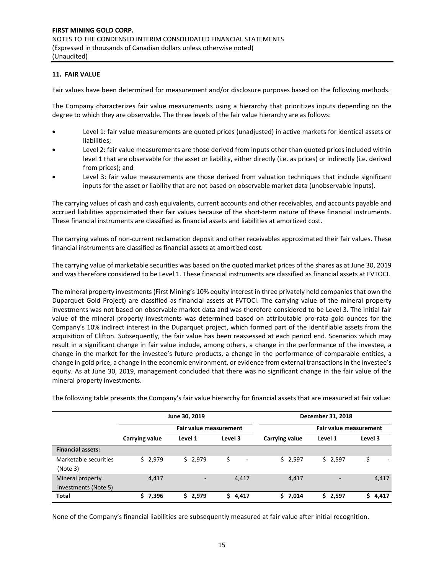## **11. FAIR VALUE**

Fair values have been determined for measurement and/or disclosure purposes based on the following methods.

The Company characterizes fair value measurements using a hierarchy that prioritizes inputs depending on the degree to which they are observable. The three levels of the fair value hierarchy are as follows:

- Level 1: fair value measurements are quoted prices (unadjusted) in active markets for identical assets or liabilities;
- Level 2: fair value measurements are those derived from inputs other than quoted prices included within level 1 that are observable for the asset or liability, either directly (i.e. as prices) or indirectly (i.e. derived from prices); and
- Level 3: fair value measurements are those derived from valuation techniques that include significant inputs for the asset or liability that are not based on observable market data (unobservable inputs).

The carrying values of cash and cash equivalents, current accounts and other receivables, and accounts payable and accrued liabilities approximated their fair values because of the short‐term nature of these financial instruments. These financial instruments are classified as financial assets and liabilities at amortized cost.

The carrying values of non-current reclamation deposit and other receivables approximated their fair values. These financial instruments are classified as financial assets at amortized cost.

The carrying value of marketable securities was based on the quoted market prices of the shares as at June 30, 2019 and was therefore considered to be Level 1. These financial instruments are classified as financial assets at FVTOCI.

The mineral property investments (First Mining's 10% equity interest in three privately held companies that own the Duparquet Gold Project) are classified as financial assets at FVTOCI. The carrying value of the mineral property investments was not based on observable market data and was therefore considered to be Level 3. The initial fair value of the mineral property investments was determined based on attributable pro-rata gold ounces for the Company's 10% indirect interest in the Duparquet project, which formed part of the identifiable assets from the acquisition of Clifton. Subsequently, the fair value has been reassessed at each period end. Scenarios which may result in a significant change in fair value include, among others, a change in the performance of the investee, a change in the market for the investee's future products, a change in the performance of comparable entities, a change in gold price, a change in the economic environment, or evidence from external transactions in the investee's equity. As at June 30, 2019, management concluded that there was no significant change in the fair value of the mineral property investments.

|  |  |  | The following table presents the Company's fair value hierarchy for financial assets that are measured at fair value: |
|--|--|--|-----------------------------------------------------------------------------------------------------------------------|
|  |  |  |                                                                                                                       |

|                                          |                | June 30, 2019                 |                                | December 31, 2018 |                          |            |  |
|------------------------------------------|----------------|-------------------------------|--------------------------------|-------------------|--------------------------|------------|--|
|                                          |                | <b>Fair value measurement</b> |                                |                   | Fair value measurement   |            |  |
|                                          | Carrying value | Level 1                       | Level 3                        | Carrying value    | Level 1                  | Level 3    |  |
| <b>Financial assets:</b>                 |                |                               |                                |                   |                          |            |  |
| Marketable securities<br>(Note 3)        | \$2,979        | \$2,979                       | \$<br>$\overline{\phantom{a}}$ | \$2,597           | \$2,597                  |            |  |
| Mineral property<br>investments (Note 5) | 4,417          | $\overline{\phantom{a}}$      | 4,417                          | 4,417             | $\overline{\phantom{0}}$ | 4,417      |  |
| <b>Total</b>                             | \$7,396        | 2,979<br>S.                   | 4,417<br>S.                    | \$7,014           | \$2,597                  | 4,417<br>S |  |

None of the Company's financial liabilities are subsequently measured at fair value after initial recognition.